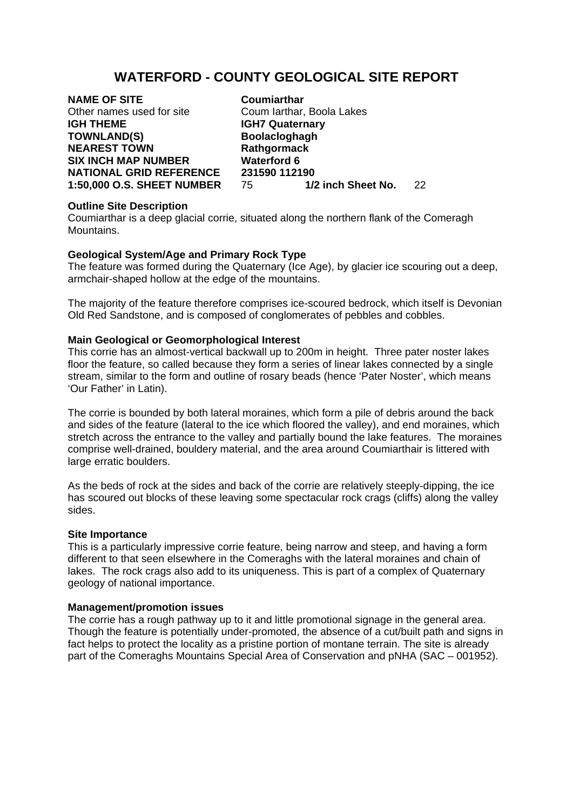# **WATERFORD - COUNTY GEOLOGICAL SITE REPORT**

**NAME OF SITE Coumiarthar**<br>
Other names used for site **Coum larthar. IGH THEME IGH7 Quaternary** TOWNLAND(S) Boolacloghagh **NEAREST TOWN Rathgormack SIX INCH MAP NUMBER Waterford 6** 

Coum Iarthar, Boola Lakes **NATIONAL GRID REFERENCE** 231590 112190<br>1:50.000 O.S. SHEET NUMBER 75 1/2 inch Sheet No. **1:50,000 O.S. SHEET NUMBER** 75 **1/2 inch Sheet No.** 22

### **Outline Site Description**

Coumiarthar is a deep glacial corrie, situated along the northern flank of the Comeragh Mountains.

## **Geological System/Age and Primary Rock Type**

The feature was formed during the Quaternary (Ice Age), by glacier ice scouring out a deep, armchair-shaped hollow at the edge of the mountains.

The majority of the feature therefore comprises ice-scoured bedrock, which itself is Devonian Old Red Sandstone, and is composed of conglomerates of pebbles and cobbles.

### **Main Geological or Geomorphological Interest**

This corrie has an almost-vertical backwall up to 200m in height. Three pater noster lakes floor the feature, so called because they form a series of linear lakes connected by a single stream, similar to the form and outline of rosary beads (hence 'Pater Noster', which means 'Our Father' in Latin).

The corrie is bounded by both lateral moraines, which form a pile of debris around the back and sides of the feature (lateral to the ice which floored the valley), and end moraines, which stretch across the entrance to the valley and partially bound the lake features. The moraines comprise well-drained, bouldery material, and the area around Coumiarthair is littered with large erratic boulders.

As the beds of rock at the sides and back of the corrie are relatively steeply-dipping, the ice has scoured out blocks of these leaving some spectacular rock crags (cliffs) along the valley sides.

### **Site Importance**

This is a particularly impressive corrie feature, being narrow and steep, and having a form different to that seen elsewhere in the Comeraghs with the lateral moraines and chain of lakes. The rock crags also add to its uniqueness. This is part of a complex of Quaternary geology of national importance.

### **Management/promotion issues**

The corrie has a rough pathway up to it and little promotional signage in the general area. Though the feature is potentially under-promoted, the absence of a cut/built path and signs in fact helps to protect the locality as a pristine portion of montane terrain. The site is already part of the Comeraghs Mountains Special Area of Conservation and pNHA (SAC – 001952).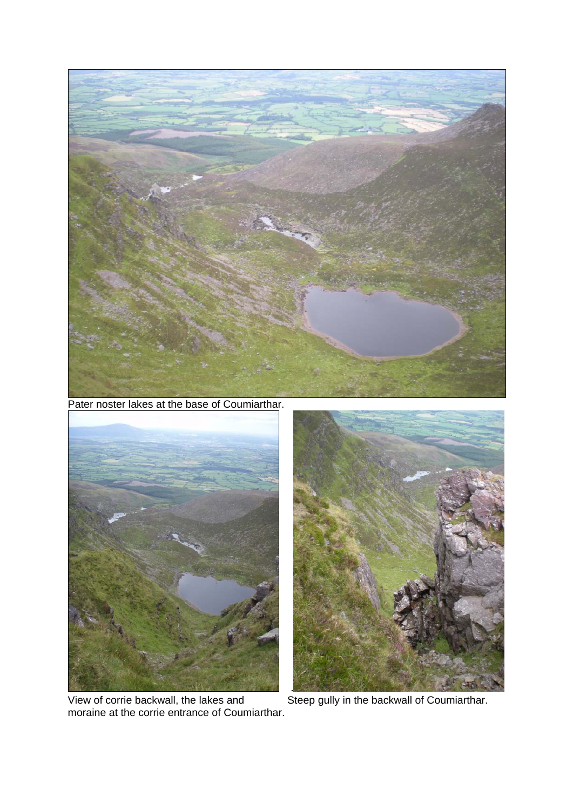

Pater noster lakes at the base of Coumiarthar.



View of corrie backwall, the lakes and Steep gully in the backwall of Coumiarthar. moraine at the corrie entrance of Coumiarthar.